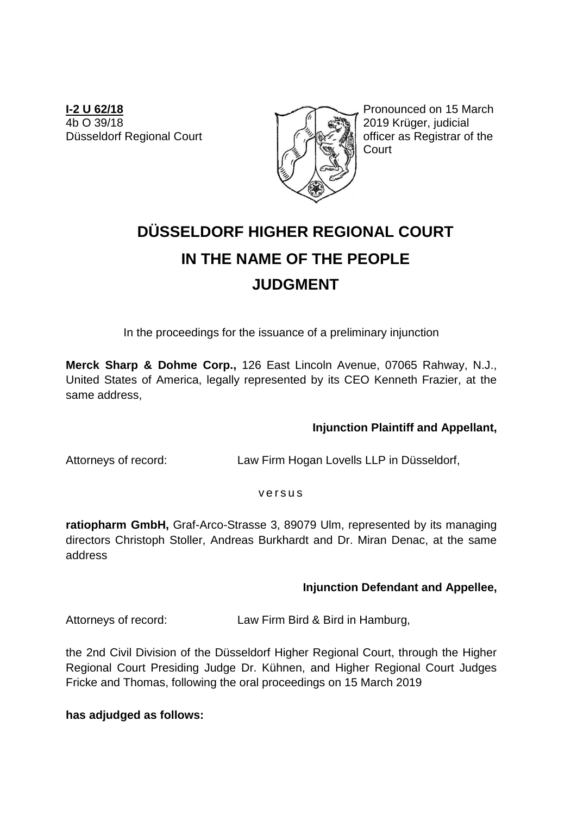**I-2 U 62/18** 4b O 39/18 Düsseldorf Regional Court



Pronounced on 15 March 2019 Krüger, judicial officer as Registrar of the **Court** 

# **DÜSSELDORF HIGHER REGIONAL COURT IN THE NAME OF THE PEOPLE JUDGMENT**

In the proceedings for the issuance of a preliminary injunction

**Merck Sharp & Dohme Corp.,** 126 East Lincoln Avenue, 07065 Rahway, N.J., United States of America, legally represented by its CEO Kenneth Frazier, at the same address,

## **Injunction Plaintiff and Appellant,**

Attorneys of record: Law Firm Hogan Lovells LLP in Düsseldorf,

#### v e r s u s

**ratiopharm GmbH,** Graf-Arco-Strasse 3, 89079 Ulm, represented by its managing directors Christoph Stoller, Andreas Burkhardt and Dr. Miran Denac, at the same address

## **Injunction Defendant and Appellee,**

Attorneys of record: Law Firm Bird & Bird in Hamburg,

the 2nd Civil Division of the Düsseldorf Higher Regional Court, through the Higher Regional Court Presiding Judge Dr. Kühnen, and Higher Regional Court Judges Fricke and Thomas, following the oral proceedings on 15 March 2019

**has adjudged as follows:**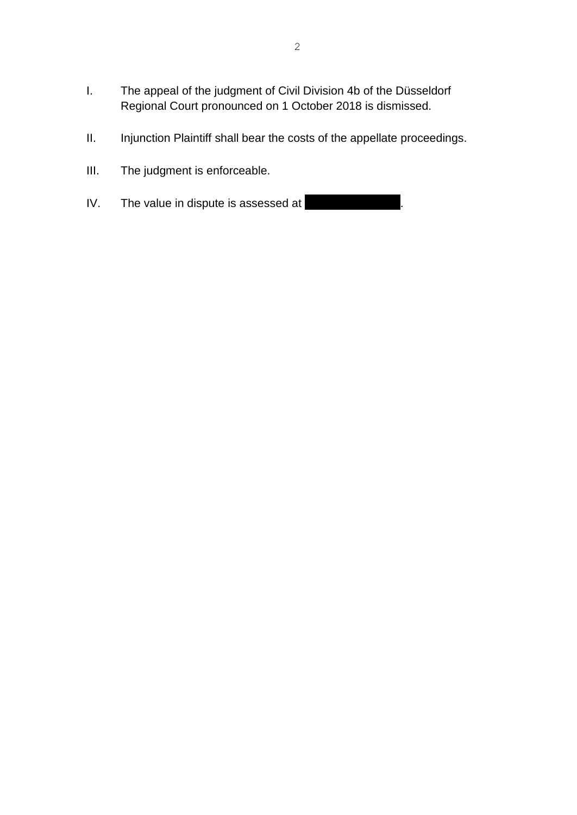- I. The appeal of the judgment of Civil Division 4b of the Düsseldorf Regional Court pronounced on 1 October 2018 is dismissed.
- II. Injunction Plaintiff shall bear the costs of the appellate proceedings.
- III. The judgment is enforceable.
- IV. The value in dispute is assessed at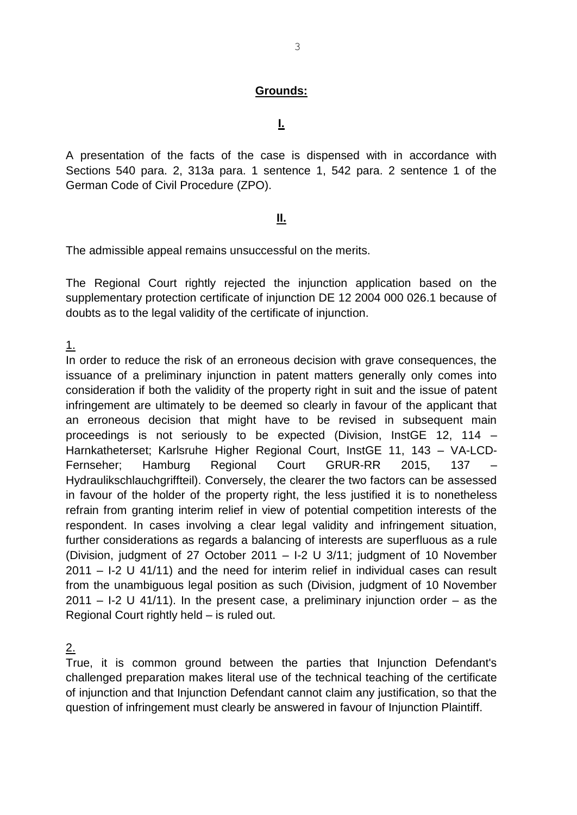### **Grounds:**

**I.**

A presentation of the facts of the case is dispensed with in accordance with Sections 540 para. 2, 313a para. 1 sentence 1, 542 para. 2 sentence 1 of the German Code of Civil Procedure (ZPO).

## **II.**

The admissible appeal remains unsuccessful on the merits.

The Regional Court rightly rejected the injunction application based on the supplementary protection certificate of injunction DE 12 2004 000 026.1 because of doubts as to the legal validity of the certificate of injunction.

1.

In order to reduce the risk of an erroneous decision with grave consequences, the issuance of a preliminary injunction in patent matters generally only comes into consideration if both the validity of the property right in suit and the issue of patent infringement are ultimately to be deemed so clearly in favour of the applicant that an erroneous decision that might have to be revised in subsequent main proceedings is not seriously to be expected (Division, InstGE 12, 114 – Harnkatheterset; Karlsruhe Higher Regional Court, InstGE 11, 143 – VA-LCD-Fernseher; Hamburg Regional Court GRUR-RR 2015, 137 – Hydraulikschlauchgriffteil). Conversely, the clearer the two factors can be assessed in favour of the holder of the property right, the less justified it is to nonetheless refrain from granting interim relief in view of potential competition interests of the respondent. In cases involving a clear legal validity and infringement situation, further considerations as regards a balancing of interests are superfluous as a rule (Division, judgment of 27 October 2011 – I-2 U 3/11; judgment of 10 November 2011 – I-2 U 41/11) and the need for interim relief in individual cases can result from the unambiguous legal position as such (Division, judgment of 10 November  $2011 - 1-2$  U 41/11). In the present case, a preliminary injunction order – as the Regional Court rightly held – is ruled out.

2.

True, it is common ground between the parties that Injunction Defendant's challenged preparation makes literal use of the technical teaching of the certificate of injunction and that Injunction Defendant cannot claim any justification, so that the question of infringement must clearly be answered in favour of Injunction Plaintiff.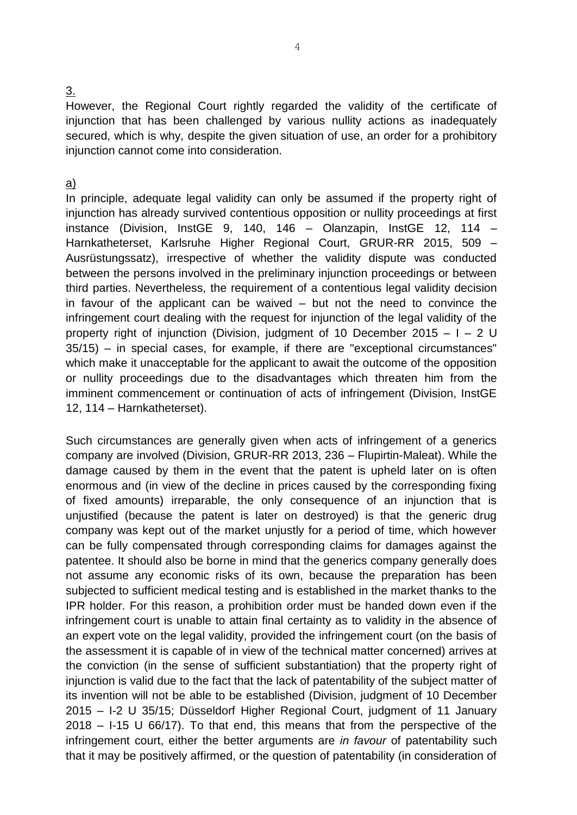#### 3.

However, the Regional Court rightly regarded the validity of the certificate of injunction that has been challenged by various nullity actions as inadequately secured, which is why, despite the given situation of use, an order for a prohibitory injunction cannot come into consideration.

#### a)

In principle, adequate legal validity can only be assumed if the property right of injunction has already survived contentious opposition or nullity proceedings at first instance (Division, InstGE 9, 140, 146 – Olanzapin, InstGE 12, 114 – Harnkatheterset, Karlsruhe Higher Regional Court, GRUR-RR 2015, 509 – Ausrüstungssatz), irrespective of whether the validity dispute was conducted between the persons involved in the preliminary injunction proceedings or between third parties. Nevertheless, the requirement of a contentious legal validity decision in favour of the applicant can be waived – but not the need to convince the infringement court dealing with the request for injunction of the legal validity of the property right of injunction (Division, judgment of 10 December 2015 –  $I - 2$  U 35/15) – in special cases, for example, if there are "exceptional circumstances" which make it unacceptable for the applicant to await the outcome of the opposition or nullity proceedings due to the disadvantages which threaten him from the imminent commencement or continuation of acts of infringement (Division, InstGE 12, 114 – Harnkatheterset).

Such circumstances are generally given when acts of infringement of a generics company are involved (Division, GRUR-RR 2013, 236 – Flupirtin-Maleat). While the damage caused by them in the event that the patent is upheld later on is often enormous and (in view of the decline in prices caused by the corresponding fixing of fixed amounts) irreparable, the only consequence of an injunction that is unjustified (because the patent is later on destroyed) is that the generic drug company was kept out of the market unjustly for a period of time, which however can be fully compensated through corresponding claims for damages against the patentee. It should also be borne in mind that the generics company generally does not assume any economic risks of its own, because the preparation has been subjected to sufficient medical testing and is established in the market thanks to the IPR holder. For this reason, a prohibition order must be handed down even if the infringement court is unable to attain final certainty as to validity in the absence of an expert vote on the legal validity, provided the infringement court (on the basis of the assessment it is capable of in view of the technical matter concerned) arrives at the conviction (in the sense of sufficient substantiation) that the property right of injunction is valid due to the fact that the lack of patentability of the subject matter of its invention will not be able to be established (Division, judgment of 10 December 2015 – I-2 U 35/15; Düsseldorf Higher Regional Court, judgment of 11 January 2018 – I-15 U 66/17). To that end, this means that from the perspective of the infringement court, either the better arguments are *in favour* of patentability such that it may be positively affirmed, or the question of patentability (in consideration of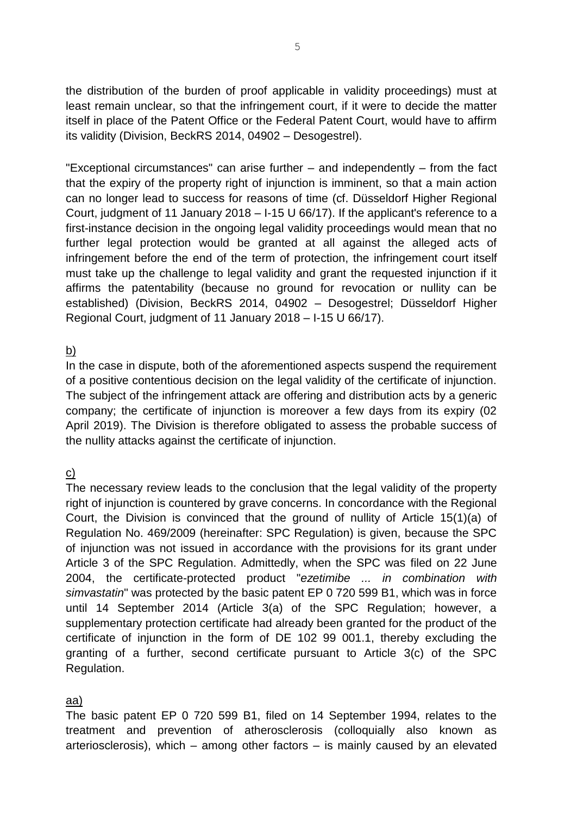the distribution of the burden of proof applicable in validity proceedings) must at least remain unclear, so that the infringement court, if it were to decide the matter itself in place of the Patent Office or the Federal Patent Court, would have to affirm its validity (Division, BeckRS 2014, 04902 – Desogestrel).

"Exceptional circumstances" can arise further – and independently – from the fact that the expiry of the property right of injunction is imminent, so that a main action can no longer lead to success for reasons of time (cf. Düsseldorf Higher Regional Court, judgment of 11 January 2018 – I-15 U 66/17). If the applicant's reference to a first-instance decision in the ongoing legal validity proceedings would mean that no further legal protection would be granted at all against the alleged acts of infringement before the end of the term of protection, the infringement court itself must take up the challenge to legal validity and grant the requested injunction if it affirms the patentability (because no ground for revocation or nullity can be established) (Division, BeckRS 2014, 04902 – Desogestrel; Düsseldorf Higher Regional Court, judgment of 11 January 2018 – I-15 U 66/17).

#### <u>b)</u>

In the case in dispute, both of the aforementioned aspects suspend the requirement of a positive contentious decision on the legal validity of the certificate of injunction. The subject of the infringement attack are offering and distribution acts by a generic company; the certificate of injunction is moreover a few days from its expiry (02 April 2019). The Division is therefore obligated to assess the probable success of the nullity attacks against the certificate of injunction.

## c)

The necessary review leads to the conclusion that the legal validity of the property right of injunction is countered by grave concerns. In concordance with the Regional Court, the Division is convinced that the ground of nullity of Article 15(1)(a) of Regulation No. 469/2009 (hereinafter: SPC Regulation) is given, because the SPC of injunction was not issued in accordance with the provisions for its grant under Article 3 of the SPC Regulation. Admittedly, when the SPC was filed on 22 June 2004, the certificate-protected product "*ezetimibe ... in combination with simvastatin*" was protected by the basic patent EP 0 720 599 B1, which was in force until 14 September 2014 (Article 3(a) of the SPC Regulation; however, a supplementary protection certificate had already been granted for the product of the certificate of injunction in the form of DE 102 99 001.1, thereby excluding the granting of a further, second certificate pursuant to Article 3(c) of the SPC Regulation.

## aa)

The basic patent EP 0 720 599 B1, filed on 14 September 1994, relates to the treatment and prevention of atherosclerosis (colloquially also known as arteriosclerosis), which – among other factors – is mainly caused by an elevated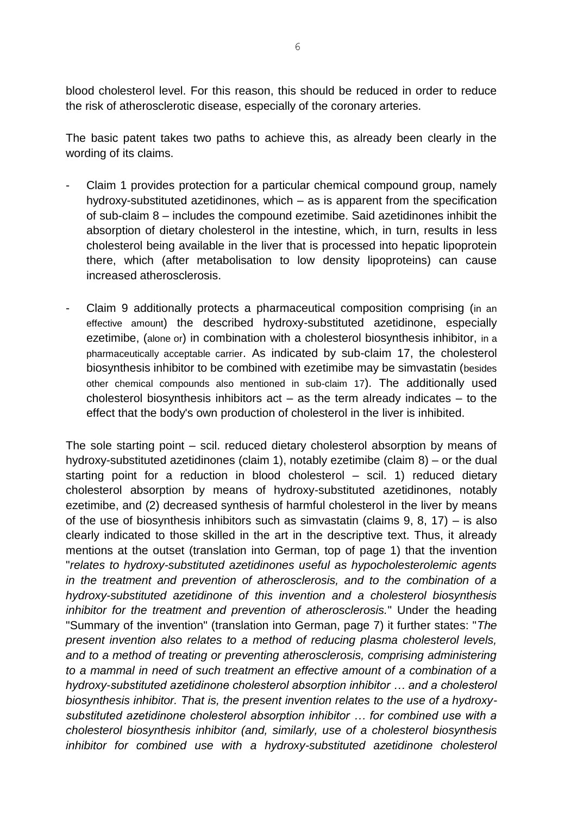blood cholesterol level. For this reason, this should be reduced in order to reduce the risk of atherosclerotic disease, especially of the coronary arteries.

The basic patent takes two paths to achieve this, as already been clearly in the wording of its claims.

- Claim 1 provides protection for a particular chemical compound group, namely hydroxy-substituted azetidinones, which – as is apparent from the specification of sub-claim 8 – includes the compound ezetimibe. Said azetidinones inhibit the absorption of dietary cholesterol in the intestine, which, in turn, results in less cholesterol being available in the liver that is processed into hepatic lipoprotein there, which (after metabolisation to low density lipoproteins) can cause increased atherosclerosis.
- Claim 9 additionally protects a pharmaceutical composition comprising (in an effective amount) the described hydroxy-substituted azetidinone, especially ezetimibe, (alone or) in combination with a cholesterol biosynthesis inhibitor, in a pharmaceutically acceptable carrier. As indicated by sub-claim 17, the cholesterol biosynthesis inhibitor to be combined with ezetimibe may be simvastatin (besides other chemical compounds also mentioned in sub-claim 17). The additionally used cholesterol biosynthesis inhibitors  $act - as$  the term already indicates  $-$  to the effect that the body's own production of cholesterol in the liver is inhibited.

The sole starting point – scil. reduced dietary cholesterol absorption by means of hydroxy-substituted azetidinones (claim 1), notably ezetimibe (claim 8) – or the dual starting point for a reduction in blood cholesterol – scil. 1) reduced dietary cholesterol absorption by means of hydroxy-substituted azetidinones, notably ezetimibe, and (2) decreased synthesis of harmful cholesterol in the liver by means of the use of biosynthesis inhibitors such as simvastatin (claims  $9, 8, 17$ ) – is also clearly indicated to those skilled in the art in the descriptive text. Thus, it already mentions at the outset (translation into German, top of page 1) that the invention "*relates to hydroxy-substituted azetidinones useful as hypocholesterolemic agents in the treatment and prevention of atherosclerosis, and to the combination of a hydroxy-substituted azetidinone of this invention and a cholesterol biosynthesis inhibitor for the treatment and prevention of atherosclerosis.*" Under the heading "Summary of the invention" (translation into German, page 7) it further states: "*The present invention also relates to a method of reducing plasma cholesterol levels,*  and to a method of treating or preventing atherosclerosis, comprising administering *to a mammal in need of such treatment an effective amount of a combination of a hydroxy-substituted azetidinone cholesterol absorption inhibitor … and a cholesterol biosynthesis inhibitor. That is, the present invention relates to the use of a hydroxysubstituted azetidinone cholesterol absorption inhibitor … for combined use with a cholesterol biosynthesis inhibitor (and, similarly, use of a cholesterol biosynthesis*  inhibitor for combined use with a hydroxy-substituted azetidinone cholesterol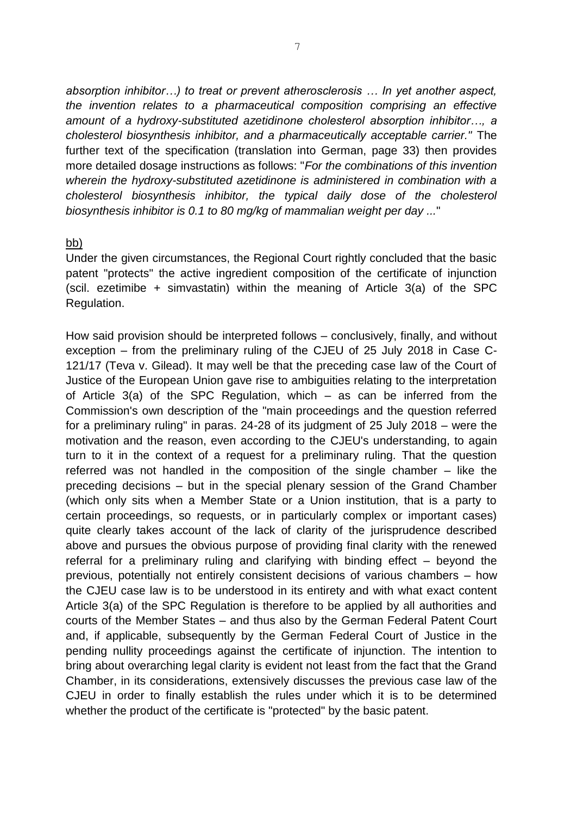*absorption inhibitor…) to treat or prevent atherosclerosis … In yet another aspect, the invention relates to a pharmaceutical composition comprising an effective amount of a hydroxy-substituted azetidinone cholesterol absorption inhibitor…, a cholesterol biosynthesis inhibitor, and a pharmaceutically acceptable carrier."* The further text of the specification (translation into German, page 33) then provides more detailed dosage instructions as follows: "*For the combinations of this invention wherein the hydroxy-substituted azetidinone is administered in combination with a cholesterol biosynthesis inhibitor, the typical daily dose of the cholesterol biosynthesis inhibitor is 0.1 to 80 mg/kg of mammalian weight per day ...*"

#### bb)

Under the given circumstances, the Regional Court rightly concluded that the basic patent "protects" the active ingredient composition of the certificate of injunction (scil. ezetimibe + simvastatin) within the meaning of Article 3(a) of the SPC Regulation.

How said provision should be interpreted follows – conclusively, finally, and without exception – from the preliminary ruling of the CJEU of 25 July 2018 in Case C-121/17 (Teva v. Gilead). It may well be that the preceding case law of the Court of Justice of the European Union gave rise to ambiguities relating to the interpretation of Article 3(a) of the SPC Regulation, which – as can be inferred from the Commission's own description of the "main proceedings and the question referred for a preliminary ruling" in paras. 24-28 of its judgment of 25 July 2018 – were the motivation and the reason, even according to the CJEU's understanding, to again turn to it in the context of a request for a preliminary ruling. That the question referred was not handled in the composition of the single chamber – like the preceding decisions – but in the special plenary session of the Grand Chamber (which only sits when a Member State or a Union institution, that is a party to certain proceedings, so requests, or in particularly complex or important cases) quite clearly takes account of the lack of clarity of the jurisprudence described above and pursues the obvious purpose of providing final clarity with the renewed referral for a preliminary ruling and clarifying with binding effect – beyond the previous, potentially not entirely consistent decisions of various chambers – how the CJEU case law is to be understood in its entirety and with what exact content Article 3(a) of the SPC Regulation is therefore to be applied by all authorities and courts of the Member States – and thus also by the German Federal Patent Court and, if applicable, subsequently by the German Federal Court of Justice in the pending nullity proceedings against the certificate of injunction. The intention to bring about overarching legal clarity is evident not least from the fact that the Grand Chamber, in its considerations, extensively discusses the previous case law of the CJEU in order to finally establish the rules under which it is to be determined whether the product of the certificate is "protected" by the basic patent.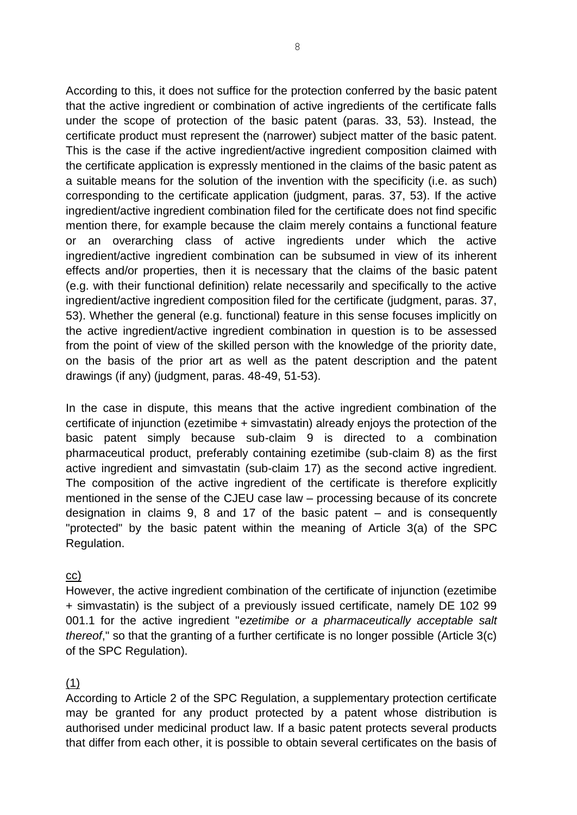According to this, it does not suffice for the protection conferred by the basic patent that the active ingredient or combination of active ingredients of the certificate falls under the scope of protection of the basic patent (paras. 33, 53). Instead, the certificate product must represent the (narrower) subject matter of the basic patent. This is the case if the active ingredient/active ingredient composition claimed with the certificate application is expressly mentioned in the claims of the basic patent as a suitable means for the solution of the invention with the specificity (i.e. as such) corresponding to the certificate application (judgment, paras. 37, 53). If the active ingredient/active ingredient combination filed for the certificate does not find specific mention there, for example because the claim merely contains a functional feature or an overarching class of active ingredients under which the active ingredient/active ingredient combination can be subsumed in view of its inherent effects and/or properties, then it is necessary that the claims of the basic patent (e.g. with their functional definition) relate necessarily and specifically to the active ingredient/active ingredient composition filed for the certificate (judgment, paras. 37, 53). Whether the general (e.g. functional) feature in this sense focuses implicitly on the active ingredient/active ingredient combination in question is to be assessed from the point of view of the skilled person with the knowledge of the priority date, on the basis of the prior art as well as the patent description and the patent drawings (if any) (judgment, paras. 48-49, 51-53).

In the case in dispute, this means that the active ingredient combination of the certificate of injunction (ezetimibe + simvastatin) already enjoys the protection of the basic patent simply because sub-claim 9 is directed to a combination pharmaceutical product, preferably containing ezetimibe (sub-claim 8) as the first active ingredient and simvastatin (sub-claim 17) as the second active ingredient. The composition of the active ingredient of the certificate is therefore explicitly mentioned in the sense of the CJEU case law – processing because of its concrete designation in claims 9, 8 and 17 of the basic patent – and is consequently "protected" by the basic patent within the meaning of Article 3(a) of the SPC Regulation.

#### cc)

However, the active ingredient combination of the certificate of injunction (ezetimibe + simvastatin) is the subject of a previously issued certificate, namely DE 102 99 001.1 for the active ingredient "*ezetimibe or a pharmaceutically acceptable salt thereof*," so that the granting of a further certificate is no longer possible (Article 3(c) of the SPC Regulation).

#### (1)

According to Article 2 of the SPC Regulation, a supplementary protection certificate may be granted for any product protected by a patent whose distribution is authorised under medicinal product law. If a basic patent protects several products that differ from each other, it is possible to obtain several certificates on the basis of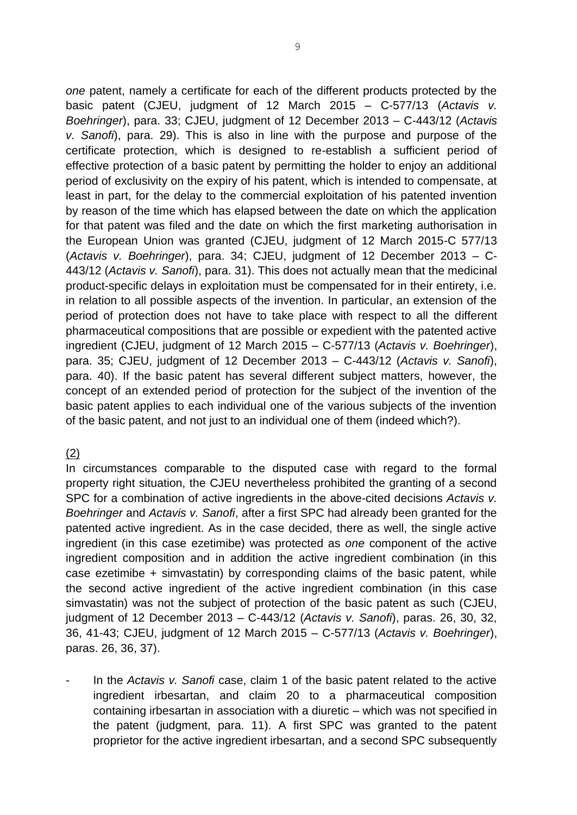*one* patent, namely a certificate for each of the different products protected by the basic patent (CJEU, judgment of 12 March 2015 – C-577/13 (*Actavis v. Boehringer*), para. 33; CJEU, judgment of 12 December 2013 – C-443/12 (*Actavis v. Sanofi*), para. 29). This is also in line with the purpose and purpose of the certificate protection, which is designed to re-establish a sufficient period of effective protection of a basic patent by permitting the holder to enjoy an additional period of exclusivity on the expiry of his patent, which is intended to compensate, at least in part, for the delay to the commercial exploitation of his patented invention by reason of the time which has elapsed between the date on which the application for that patent was filed and the date on which the first marketing authorisation in the European Union was granted (CJEU, judgment of 12 March 2015-C 577/13 (*Actavis v. Boehringer*), para. 34; CJEU, judgment of 12 December 2013 – C-443/12 (*Actavis v. Sanofi*), para. 31). This does not actually mean that the medicinal product-specific delays in exploitation must be compensated for in their entirety, i.e. in relation to all possible aspects of the invention. In particular, an extension of the period of protection does not have to take place with respect to all the different pharmaceutical compositions that are possible or expedient with the patented active ingredient (CJEU, judgment of 12 March 2015 – C-577/13 (*Actavis v. Boehringer*), para. 35; CJEU, judgment of 12 December 2013 – C-443/12 (*Actavis v. Sanofi*), para. 40). If the basic patent has several different subject matters, however, the concept of an extended period of protection for the subject of the invention of the basic patent applies to each individual one of the various subjects of the invention of the basic patent, and not just to an individual one of them (indeed which?).

## (2)

In circumstances comparable to the disputed case with regard to the formal property right situation, the CJEU nevertheless prohibited the granting of a second SPC for a combination of active ingredients in the above-cited decisions *Actavis v. Boehringer* and *Actavis v. Sanofi*, after a first SPC had already been granted for the patented active ingredient. As in the case decided, there as well, the single active ingredient (in this case ezetimibe) was protected as *one* component of the active ingredient composition and in addition the active ingredient combination (in this case ezetimibe + simvastatin) by corresponding claims of the basic patent, while the second active ingredient of the active ingredient combination (in this case simvastatin) was not the subject of protection of the basic patent as such (CJEU, judgment of 12 December 2013 – C-443/12 (*Actavis v. Sanofi*), paras. 26, 30, 32, 36, 41-43; CJEU, judgment of 12 March 2015 – C-577/13 (*Actavis v. Boehringer*), paras. 26, 36, 37).

- In the *Actavis v. Sanofi* case, claim 1 of the basic patent related to the active ingredient irbesartan, and claim 20 to a pharmaceutical composition containing irbesartan in association with a diuretic – which was not specified in the patent (judgment, para. 11). A first SPC was granted to the patent proprietor for the active ingredient irbesartan, and a second SPC subsequently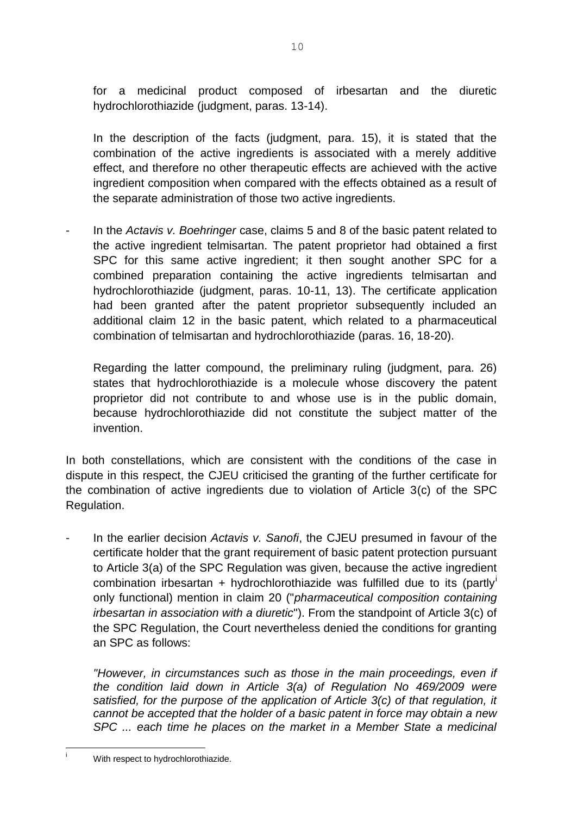for a medicinal product composed of irbesartan and the diuretic hydrochlorothiazide (judgment, paras. 13-14).

In the description of the facts (judgment, para. 15), it is stated that the combination of the active ingredients is associated with a merely additive effect, and therefore no other therapeutic effects are achieved with the active ingredient composition when compared with the effects obtained as a result of the separate administration of those two active ingredients.

- In the *Actavis v. Boehringer* case, claims 5 and 8 of the basic patent related to the active ingredient telmisartan. The patent proprietor had obtained a first SPC for this same active ingredient; it then sought another SPC for a combined preparation containing the active ingredients telmisartan and hydrochlorothiazide (judgment, paras. 10-11, 13). The certificate application had been granted after the patent proprietor subsequently included an additional claim 12 in the basic patent, which related to a pharmaceutical combination of telmisartan and hydrochlorothiazide (paras. 16, 18-20).

Regarding the latter compound, the preliminary ruling (judgment, para. 26) states that hydrochlorothiazide is a molecule whose discovery the patent proprietor did not contribute to and whose use is in the public domain, because hydrochlorothiazide did not constitute the subject matter of the invention.

In both constellations, which are consistent with the conditions of the case in dispute in this respect, the CJEU criticised the granting of the further certificate for the combination of active ingredients due to violation of Article 3(c) of the SPC Regulation.

In the earlier decision *Actavis v. Sanofi*, the CJEU presumed in favour of the certificate holder that the grant requirement of basic patent protection pursuant to Article 3(a) of the SPC Regulation was given, because the active ingredient combination irbesartan + hydrochlorothiazide was fulfilled due to its (partly only functional) mention in claim 20 ("*pharmaceutical composition containing irbesartan in association with a diuretic*"). From the standpoint of Article 3(c) of the SPC Regulation, the Court nevertheless denied the conditions for granting an SPC as follows:

*"However, in circumstances such as those in the main proceedings, even if the condition laid down in Article 3(a) of Regulation No 469/2009 were*  satisfied, for the purpose of the application of Article 3(c) of that regulation, it *cannot be accepted that the holder of a basic patent in force may obtain a new SPC ... each time he places on the market in a Member State a medicinal* 

l

With respect to hydrochlorothiazide.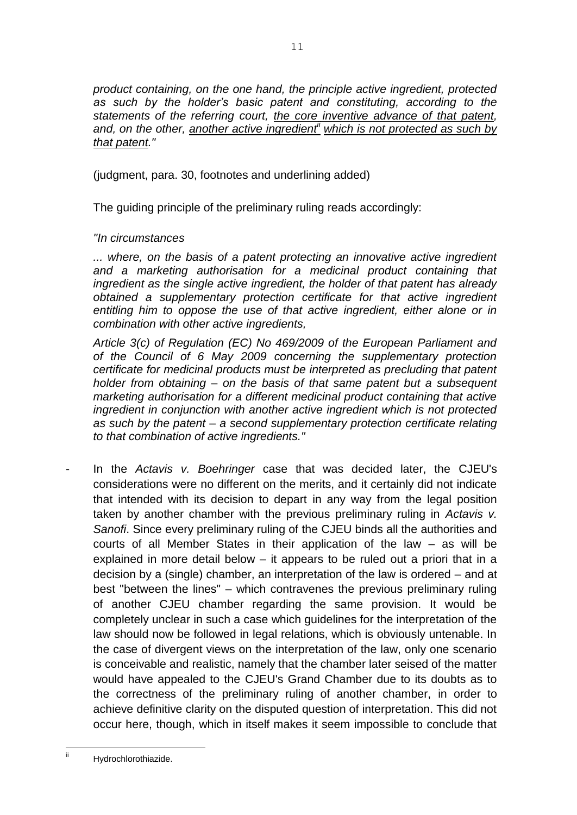*product containing, on the one hand, the principle active ingredient, protected as such by the holder's basic patent and constituting, according to the statements of the referring court, the core inventive advance of that patent, and, on the other, another active ingredientii which is not protected as such by that patent."*

(judgment, para. 30, footnotes and underlining added)

The guiding principle of the preliminary ruling reads accordingly:

## *"In circumstances*

*... where, on the basis of a patent protecting an innovative active ingredient and a marketing authorisation for a medicinal product containing that ingredient as the single active ingredient, the holder of that patent has already obtained a supplementary protection certificate for that active ingredient*  entitling him to oppose the use of that active ingredient, either alone or in *combination with other active ingredients,*

*Article 3(c) of Regulation (EC) No 469/2009 of the European Parliament and of the Council of 6 May 2009 concerning the supplementary protection certificate for medicinal products must be interpreted as precluding that patent holder from obtaining – on the basis of that same patent but a subsequent marketing authorisation for a different medicinal product containing that active ingredient in conjunction with another active ingredient which is not protected as such by the patent – a second supplementary protection certificate relating to that combination of active ingredients."*

- In the *Actavis v. Boehringer* case that was decided later, the CJEU's considerations were no different on the merits, and it certainly did not indicate that intended with its decision to depart in any way from the legal position taken by another chamber with the previous preliminary ruling in *Actavis v. Sanofi*. Since every preliminary ruling of the CJEU binds all the authorities and courts of all Member States in their application of the law – as will be explained in more detail below – it appears to be ruled out a priori that in a decision by a (single) chamber, an interpretation of the law is ordered – and at best "between the lines" – which contravenes the previous preliminary ruling of another CJEU chamber regarding the same provision. It would be completely unclear in such a case which guidelines for the interpretation of the law should now be followed in legal relations, which is obviously untenable. In the case of divergent views on the interpretation of the law, only one scenario is conceivable and realistic, namely that the chamber later seised of the matter would have appealed to the CJEU's Grand Chamber due to its doubts as to the correctness of the preliminary ruling of another chamber, in order to achieve definitive clarity on the disputed question of interpretation. This did not occur here, though, which in itself makes it seem impossible to conclude that

ii

Hydrochlorothiazide.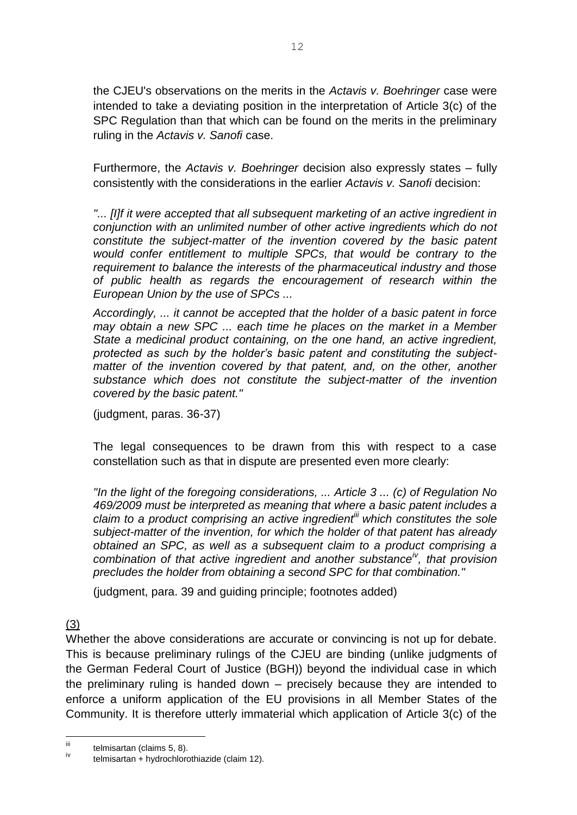the CJEU's observations on the merits in the *Actavis v. Boehringer* case were intended to take a deviating position in the interpretation of Article 3(c) of the SPC Regulation than that which can be found on the merits in the preliminary ruling in the *Actavis v. Sanofi* case.

Furthermore, the *Actavis v. Boehringer* decision also expressly states – fully consistently with the considerations in the earlier *Actavis v. Sanofi* decision:

**"...** [I]f it were accepted that all subsequent marketing of an active ingredient in *conjunction with an unlimited number of other active ingredients which do not constitute the subject-matter of the invention covered by the basic patent would confer entitlement to multiple SPCs, that would be contrary to the requirement to balance the interests of the pharmaceutical industry and those of public health as regards the encouragement of research within the European Union by the use of SPCs ...* 

*Accordingly, ... it cannot be accepted that the holder of a basic patent in force may obtain a new SPC ... each time he places on the market in a Member State a medicinal product containing, on the one hand, an active ingredient, protected as such by the holder's basic patent and constituting the subjectmatter of the invention covered by that patent, and, on the other, another substance which does not constitute the subject-matter of the invention covered by the basic patent."*

(judgment, paras. 36-37)

The legal consequences to be drawn from this with respect to a case constellation such as that in dispute are presented even more clearly:

*"In the light of the foregoing considerations, ... Article 3 ... (c) of Regulation No 469/2009 must be interpreted as meaning that where a basic patent includes a claim to a product comprising an active ingredientiii which constitutes the sole subject-matter of the invention, for which the holder of that patent has already obtained an SPC, as well as a subsequent claim to a product comprising a combination of that active ingredient and another substanceiv , that provision precludes the holder from obtaining a second SPC for that combination."*

(judgment, para. 39 and guiding principle; footnotes added)

(3)

Whether the above considerations are accurate or convincing is not up for debate. This is because preliminary rulings of the CJEU are binding (unlike judgments of the German Federal Court of Justice (BGH)) beyond the individual case in which the preliminary ruling is handed down – precisely because they are intended to enforce a uniform application of the EU provisions in all Member States of the Community. It is therefore utterly immaterial which application of Article 3(c) of the

iii  $iiii$  telmisartan (claims 5, 8).

telmisartan + hydrochlorothiazide (claim 12).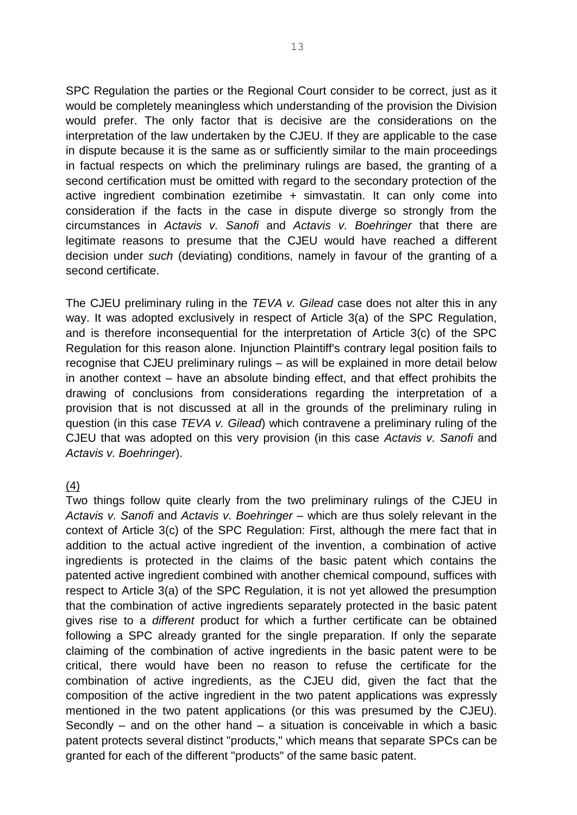SPC Regulation the parties or the Regional Court consider to be correct, just as it would be completely meaningless which understanding of the provision the Division would prefer. The only factor that is decisive are the considerations on the interpretation of the law undertaken by the CJEU. If they are applicable to the case in dispute because it is the same as or sufficiently similar to the main proceedings in factual respects on which the preliminary rulings are based, the granting of a second certification must be omitted with regard to the secondary protection of the active ingredient combination ezetimibe + simvastatin. It can only come into consideration if the facts in the case in dispute diverge so strongly from the circumstances in *Actavis v. Sanofi* and *Actavis v. Boehringer* that there are legitimate reasons to presume that the CJEU would have reached a different decision under *such* (deviating) conditions, namely in favour of the granting of a second certificate.

The CJEU preliminary ruling in the *TEVA v. Gilead* case does not alter this in any way. It was adopted exclusively in respect of Article 3(a) of the SPC Regulation, and is therefore inconsequential for the interpretation of Article 3(c) of the SPC Regulation for this reason alone. Injunction Plaintiff's contrary legal position fails to recognise that CJEU preliminary rulings – as will be explained in more detail below in another context – have an absolute binding effect, and that effect prohibits the drawing of conclusions from considerations regarding the interpretation of a provision that is not discussed at all in the grounds of the preliminary ruling in question (in this case *TEVA v. Gilead*) which contravene a preliminary ruling of the CJEU that was adopted on this very provision (in this case *Actavis v. Sanofi* and *Actavis v. Boehringer*).

#### (4)

Two things follow quite clearly from the two preliminary rulings of the CJEU in *Actavis v. Sanofi* and *Actavis v. Boehringer* – which are thus solely relevant in the context of Article 3(c) of the SPC Regulation: First, although the mere fact that in addition to the actual active ingredient of the invention, a combination of active ingredients is protected in the claims of the basic patent which contains the patented active ingredient combined with another chemical compound, suffices with respect to Article 3(a) of the SPC Regulation, it is not yet allowed the presumption that the combination of active ingredients separately protected in the basic patent gives rise to a *different* product for which a further certificate can be obtained following a SPC already granted for the single preparation. If only the separate claiming of the combination of active ingredients in the basic patent were to be critical, there would have been no reason to refuse the certificate for the combination of active ingredients, as the CJEU did, given the fact that the composition of the active ingredient in the two patent applications was expressly mentioned in the two patent applications (or this was presumed by the CJEU). Secondly – and on the other hand – a situation is conceivable in which a basic patent protects several distinct "products," which means that separate SPCs can be granted for each of the different "products" of the same basic patent.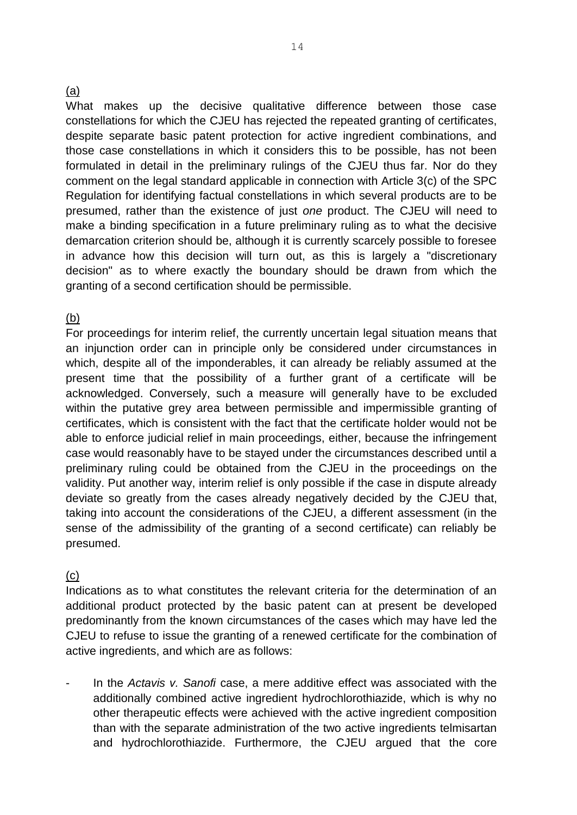#### (a)

What makes up the decisive qualitative difference between those case constellations for which the CJEU has rejected the repeated granting of certificates, despite separate basic patent protection for active ingredient combinations, and those case constellations in which it considers this to be possible, has not been formulated in detail in the preliminary rulings of the CJEU thus far. Nor do they comment on the legal standard applicable in connection with Article 3(c) of the SPC Regulation for identifying factual constellations in which several products are to be presumed, rather than the existence of just *one* product. The CJEU will need to make a binding specification in a future preliminary ruling as to what the decisive demarcation criterion should be, although it is currently scarcely possible to foresee in advance how this decision will turn out, as this is largely a "discretionary decision" as to where exactly the boundary should be drawn from which the granting of a second certification should be permissible.

## (b)

For proceedings for interim relief, the currently uncertain legal situation means that an injunction order can in principle only be considered under circumstances in which, despite all of the imponderables, it can already be reliably assumed at the present time that the possibility of a further grant of a certificate will be acknowledged. Conversely, such a measure will generally have to be excluded within the putative grey area between permissible and impermissible granting of certificates, which is consistent with the fact that the certificate holder would not be able to enforce judicial relief in main proceedings, either, because the infringement case would reasonably have to be stayed under the circumstances described until a preliminary ruling could be obtained from the CJEU in the proceedings on the validity. Put another way, interim relief is only possible if the case in dispute already deviate so greatly from the cases already negatively decided by the CJEU that, taking into account the considerations of the CJEU, a different assessment (in the sense of the admissibility of the granting of a second certificate) can reliably be presumed.

#### $(c)$

Indications as to what constitutes the relevant criteria for the determination of an additional product protected by the basic patent can at present be developed predominantly from the known circumstances of the cases which may have led the CJEU to refuse to issue the granting of a renewed certificate for the combination of active ingredients, and which are as follows:

- In the *Actavis v. Sanofi* case, a mere additive effect was associated with the additionally combined active ingredient hydrochlorothiazide, which is why no other therapeutic effects were achieved with the active ingredient composition than with the separate administration of the two active ingredients telmisartan and hydrochlorothiazide. Furthermore, the CJEU argued that the core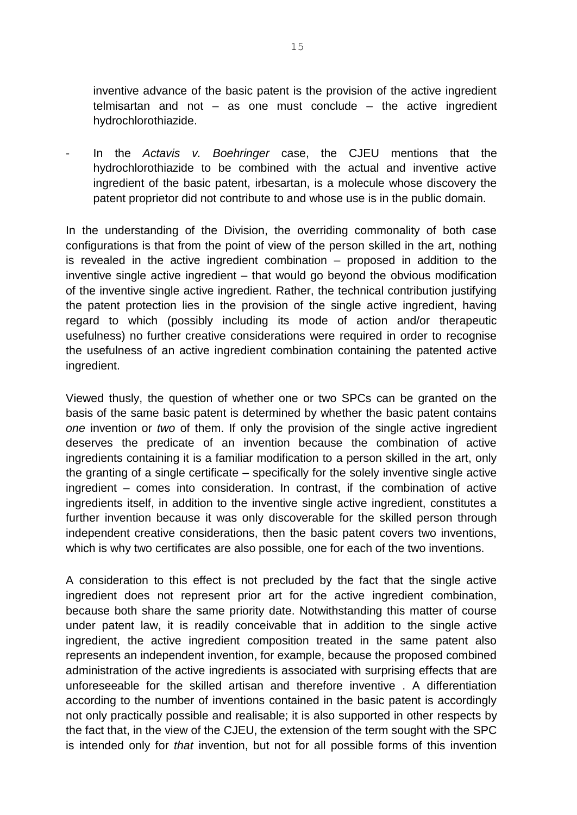inventive advance of the basic patent is the provision of the active ingredient telmisartan and not  $-$  as one must conclude  $-$  the active ingredient hydrochlorothiazide.

- In the *Actavis v. Boehringer* case, the CJEU mentions that the hydrochlorothiazide to be combined with the actual and inventive active ingredient of the basic patent, irbesartan, is a molecule whose discovery the patent proprietor did not contribute to and whose use is in the public domain.

In the understanding of the Division, the overriding commonality of both case configurations is that from the point of view of the person skilled in the art, nothing is revealed in the active ingredient combination – proposed in addition to the inventive single active ingredient – that would go beyond the obvious modification of the inventive single active ingredient. Rather, the technical contribution justifying the patent protection lies in the provision of the single active ingredient, having regard to which (possibly including its mode of action and/or therapeutic usefulness) no further creative considerations were required in order to recognise the usefulness of an active ingredient combination containing the patented active ingredient.

Viewed thusly, the question of whether one or two SPCs can be granted on the basis of the same basic patent is determined by whether the basic patent contains *one* invention or *two* of them. If only the provision of the single active ingredient deserves the predicate of an invention because the combination of active ingredients containing it is a familiar modification to a person skilled in the art, only the granting of a single certificate – specifically for the solely inventive single active ingredient – comes into consideration. In contrast, if the combination of active ingredients itself, in addition to the inventive single active ingredient, constitutes a further invention because it was only discoverable for the skilled person through independent creative considerations, then the basic patent covers two inventions, which is why two certificates are also possible, one for each of the two inventions.

A consideration to this effect is not precluded by the fact that the single active ingredient does not represent prior art for the active ingredient combination, because both share the same priority date. Notwithstanding this matter of course under patent law, it is readily conceivable that in addition to the single active ingredient, the active ingredient composition treated in the same patent also represents an independent invention, for example, because the proposed combined administration of the active ingredients is associated with surprising effects that are unforeseeable for the skilled artisan and therefore inventive . A differentiation according to the number of inventions contained in the basic patent is accordingly not only practically possible and realisable; it is also supported in other respects by the fact that, in the view of the CJEU, the extension of the term sought with the SPC is intended only for *that* invention, but not for all possible forms of this invention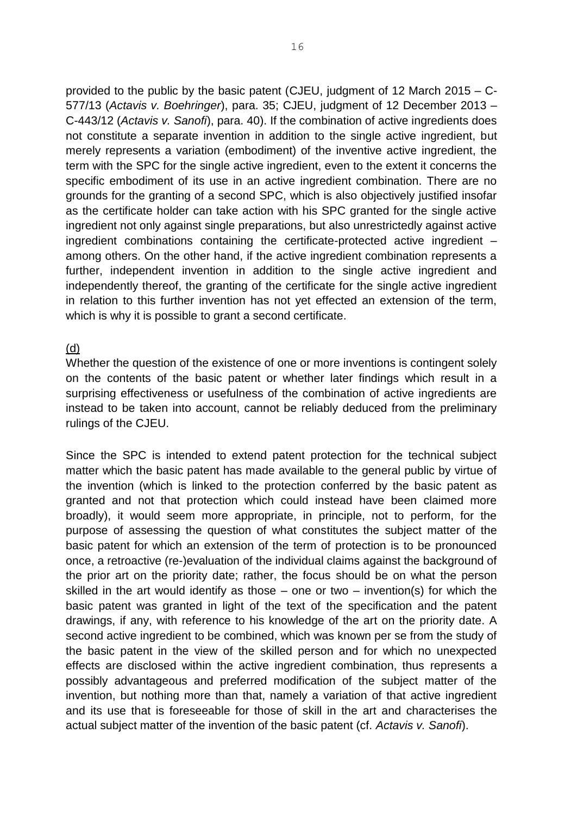provided to the public by the basic patent (CJEU, judgment of 12 March 2015 – C-577/13 (*Actavis v. Boehringer*), para. 35; CJEU, judgment of 12 December 2013 – C-443/12 (*Actavis v. Sanofi*), para. 40). If the combination of active ingredients does not constitute a separate invention in addition to the single active ingredient, but merely represents a variation (embodiment) of the inventive active ingredient, the term with the SPC for the single active ingredient, even to the extent it concerns the specific embodiment of its use in an active ingredient combination. There are no grounds for the granting of a second SPC, which is also objectively justified insofar as the certificate holder can take action with his SPC granted for the single active ingredient not only against single preparations, but also unrestrictedly against active ingredient combinations containing the certificate-protected active ingredient – among others. On the other hand, if the active ingredient combination represents a further, independent invention in addition to the single active ingredient and independently thereof, the granting of the certificate for the single active ingredient in relation to this further invention has not yet effected an extension of the term, which is why it is possible to grant a second certificate.

#### (d)

Whether the question of the existence of one or more inventions is contingent solely on the contents of the basic patent or whether later findings which result in a surprising effectiveness or usefulness of the combination of active ingredients are instead to be taken into account, cannot be reliably deduced from the preliminary rulings of the CJEU.

Since the SPC is intended to extend patent protection for the technical subject matter which the basic patent has made available to the general public by virtue of the invention (which is linked to the protection conferred by the basic patent as granted and not that protection which could instead have been claimed more broadly), it would seem more appropriate, in principle, not to perform, for the purpose of assessing the question of what constitutes the subject matter of the basic patent for which an extension of the term of protection is to be pronounced once, a retroactive (re-)evaluation of the individual claims against the background of the prior art on the priority date; rather, the focus should be on what the person skilled in the art would identify as those – one or two – invention(s) for which the basic patent was granted in light of the text of the specification and the patent drawings, if any, with reference to his knowledge of the art on the priority date. A second active ingredient to be combined, which was known per se from the study of the basic patent in the view of the skilled person and for which no unexpected effects are disclosed within the active ingredient combination, thus represents a possibly advantageous and preferred modification of the subject matter of the invention, but nothing more than that, namely a variation of that active ingredient and its use that is foreseeable for those of skill in the art and characterises the actual subject matter of the invention of the basic patent (cf. *Actavis v. Sanofi*).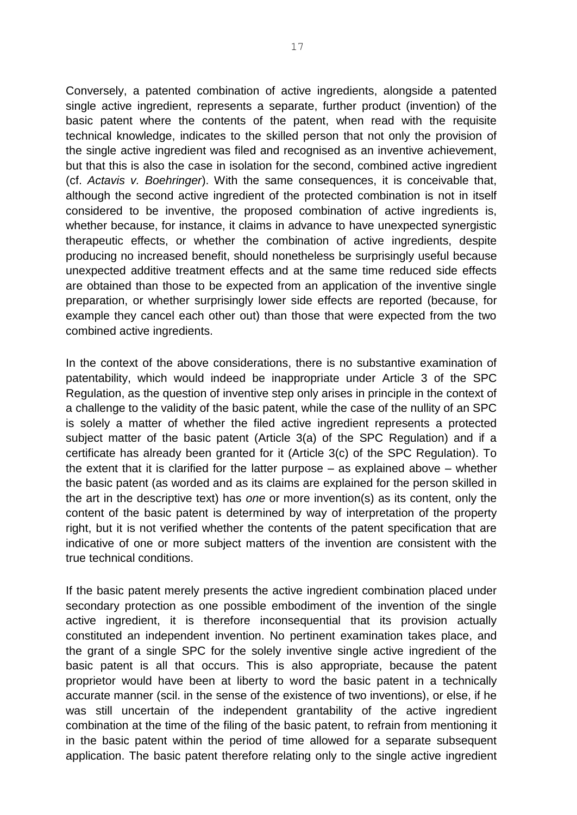Conversely, a patented combination of active ingredients, alongside a patented single active ingredient, represents a separate, further product (invention) of the basic patent where the contents of the patent, when read with the requisite technical knowledge, indicates to the skilled person that not only the provision of the single active ingredient was filed and recognised as an inventive achievement, but that this is also the case in isolation for the second, combined active ingredient (cf. *Actavis v. Boehringer*). With the same consequences, it is conceivable that, although the second active ingredient of the protected combination is not in itself considered to be inventive, the proposed combination of active ingredients is, whether because, for instance, it claims in advance to have unexpected synergistic therapeutic effects, or whether the combination of active ingredients, despite producing no increased benefit, should nonetheless be surprisingly useful because unexpected additive treatment effects and at the same time reduced side effects are obtained than those to be expected from an application of the inventive single preparation, or whether surprisingly lower side effects are reported (because, for example they cancel each other out) than those that were expected from the two combined active ingredients.

In the context of the above considerations, there is no substantive examination of patentability, which would indeed be inappropriate under Article 3 of the SPC Regulation, as the question of inventive step only arises in principle in the context of a challenge to the validity of the basic patent, while the case of the nullity of an SPC is solely a matter of whether the filed active ingredient represents a protected subject matter of the basic patent (Article 3(a) of the SPC Regulation) and if a certificate has already been granted for it (Article 3(c) of the SPC Regulation). To the extent that it is clarified for the latter purpose – as explained above – whether the basic patent (as worded and as its claims are explained for the person skilled in the art in the descriptive text) has *one* or more invention(s) as its content, only the content of the basic patent is determined by way of interpretation of the property right, but it is not verified whether the contents of the patent specification that are indicative of one or more subject matters of the invention are consistent with the true technical conditions.

If the basic patent merely presents the active ingredient combination placed under secondary protection as one possible embodiment of the invention of the single active ingredient, it is therefore inconsequential that its provision actually constituted an independent invention. No pertinent examination takes place, and the grant of a single SPC for the solely inventive single active ingredient of the basic patent is all that occurs. This is also appropriate, because the patent proprietor would have been at liberty to word the basic patent in a technically accurate manner (scil. in the sense of the existence of two inventions), or else, if he was still uncertain of the independent grantability of the active ingredient combination at the time of the filing of the basic patent, to refrain from mentioning it in the basic patent within the period of time allowed for a separate subsequent application. The basic patent therefore relating only to the single active ingredient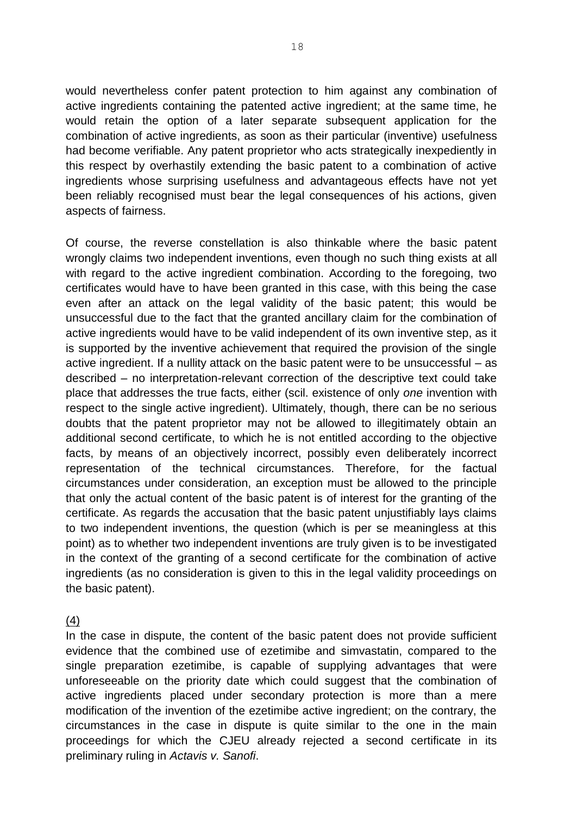would nevertheless confer patent protection to him against any combination of active ingredients containing the patented active ingredient; at the same time, he would retain the option of a later separate subsequent application for the combination of active ingredients, as soon as their particular (inventive) usefulness had become verifiable. Any patent proprietor who acts strategically inexpediently in this respect by overhastily extending the basic patent to a combination of active ingredients whose surprising usefulness and advantageous effects have not yet been reliably recognised must bear the legal consequences of his actions, given aspects of fairness.

Of course, the reverse constellation is also thinkable where the basic patent wrongly claims two independent inventions, even though no such thing exists at all with regard to the active ingredient combination. According to the foregoing, two certificates would have to have been granted in this case, with this being the case even after an attack on the legal validity of the basic patent; this would be unsuccessful due to the fact that the granted ancillary claim for the combination of active ingredients would have to be valid independent of its own inventive step, as it is supported by the inventive achievement that required the provision of the single active ingredient. If a nullity attack on the basic patent were to be unsuccessful – as described – no interpretation-relevant correction of the descriptive text could take place that addresses the true facts, either (scil. existence of only *one* invention with respect to the single active ingredient). Ultimately, though, there can be no serious doubts that the patent proprietor may not be allowed to illegitimately obtain an additional second certificate, to which he is not entitled according to the objective facts, by means of an objectively incorrect, possibly even deliberately incorrect representation of the technical circumstances. Therefore, for the factual circumstances under consideration, an exception must be allowed to the principle that only the actual content of the basic patent is of interest for the granting of the certificate. As regards the accusation that the basic patent unjustifiably lays claims to two independent inventions, the question (which is per se meaningless at this point) as to whether two independent inventions are truly given is to be investigated in the context of the granting of a second certificate for the combination of active ingredients (as no consideration is given to this in the legal validity proceedings on the basic patent).

(4)

In the case in dispute, the content of the basic patent does not provide sufficient evidence that the combined use of ezetimibe and simvastatin, compared to the single preparation ezetimibe, is capable of supplying advantages that were unforeseeable on the priority date which could suggest that the combination of active ingredients placed under secondary protection is more than a mere modification of the invention of the ezetimibe active ingredient; on the contrary, the circumstances in the case in dispute is quite similar to the one in the main proceedings for which the CJEU already rejected a second certificate in its preliminary ruling in *Actavis v. Sanofi*.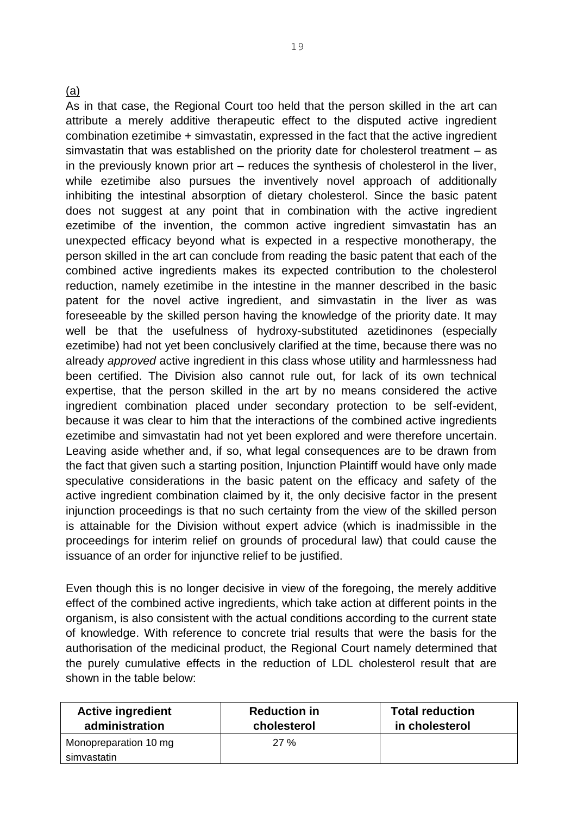## (a)

As in that case, the Regional Court too held that the person skilled in the art can attribute a merely additive therapeutic effect to the disputed active ingredient combination ezetimibe + simvastatin, expressed in the fact that the active ingredient simvastatin that was established on the priority date for cholesterol treatment – as in the previously known prior art – reduces the synthesis of cholesterol in the liver, while ezetimibe also pursues the inventively novel approach of additionally inhibiting the intestinal absorption of dietary cholesterol. Since the basic patent does not suggest at any point that in combination with the active ingredient ezetimibe of the invention, the common active ingredient simvastatin has an unexpected efficacy beyond what is expected in a respective monotherapy, the person skilled in the art can conclude from reading the basic patent that each of the combined active ingredients makes its expected contribution to the cholesterol reduction, namely ezetimibe in the intestine in the manner described in the basic patent for the novel active ingredient, and simvastatin in the liver as was foreseeable by the skilled person having the knowledge of the priority date. It may well be that the usefulness of hydroxy-substituted azetidinones (especially ezetimibe) had not yet been conclusively clarified at the time, because there was no already *approved* active ingredient in this class whose utility and harmlessness had been certified. The Division also cannot rule out, for lack of its own technical expertise, that the person skilled in the art by no means considered the active ingredient combination placed under secondary protection to be self-evident, because it was clear to him that the interactions of the combined active ingredients ezetimibe and simvastatin had not yet been explored and were therefore uncertain. Leaving aside whether and, if so, what legal consequences are to be drawn from the fact that given such a starting position, Injunction Plaintiff would have only made speculative considerations in the basic patent on the efficacy and safety of the active ingredient combination claimed by it, the only decisive factor in the present injunction proceedings is that no such certainty from the view of the skilled person is attainable for the Division without expert advice (which is inadmissible in the proceedings for interim relief on grounds of procedural law) that could cause the issuance of an order for injunctive relief to be justified.

Even though this is no longer decisive in view of the foregoing, the merely additive effect of the combined active ingredients, which take action at different points in the organism, is also consistent with the actual conditions according to the current state of knowledge. With reference to concrete trial results that were the basis for the authorisation of the medicinal product, the Regional Court namely determined that the purely cumulative effects in the reduction of LDL cholesterol result that are shown in the table below:

| <b>Active ingredient</b><br>administration | <b>Reduction in</b><br>cholesterol | <b>Total reduction</b><br>in cholesterol |
|--------------------------------------------|------------------------------------|------------------------------------------|
| Monopreparation 10 mg                      | 27 %                               |                                          |
| simvastatin                                |                                    |                                          |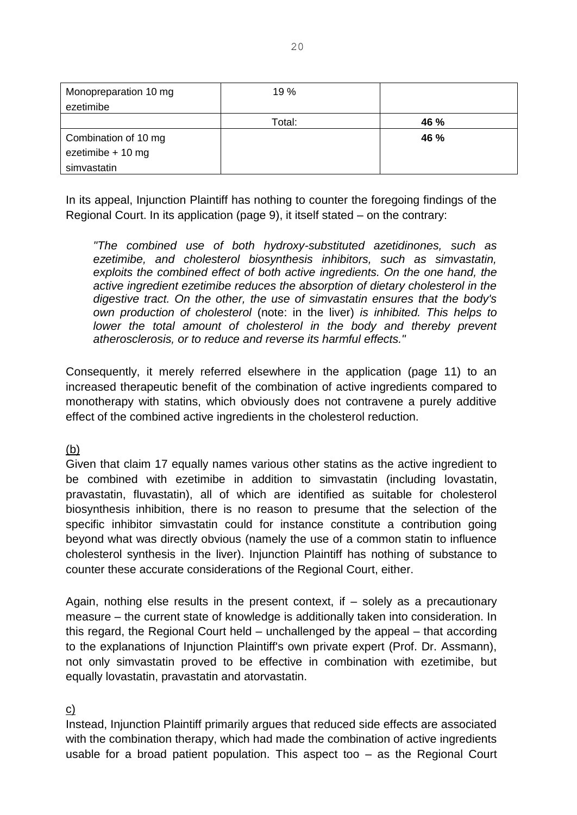| Monopreparation 10 mg<br>ezetimibe | 19 %   |      |
|------------------------------------|--------|------|
|                                    | Total: | 46 % |
| Combination of 10 mg               |        | 46 % |
| ezetimibe + 10 mg                  |        |      |
| simvastatin                        |        |      |

In its appeal, Injunction Plaintiff has nothing to counter the foregoing findings of the Regional Court. In its application (page 9), it itself stated – on the contrary:

*"The combined use of both hydroxy-substituted azetidinones, such as ezetimibe, and cholesterol biosynthesis inhibitors, such as simvastatin, exploits the combined effect of both active ingredients. On the one hand, the active ingredient ezetimibe reduces the absorption of dietary cholesterol in the digestive tract. On the other, the use of simvastatin ensures that the body's own production of cholesterol* (note: in the liver) *is inhibited. This helps to*  lower the total amount of cholesterol in the body and thereby prevent *atherosclerosis, or to reduce and reverse its harmful effects."*

Consequently, it merely referred elsewhere in the application (page 11) to an increased therapeutic benefit of the combination of active ingredients compared to monotherapy with statins, which obviously does not contravene a purely additive effect of the combined active ingredients in the cholesterol reduction.

## (b)

Given that claim 17 equally names various other statins as the active ingredient to be combined with ezetimibe in addition to simvastatin (including lovastatin, pravastatin, fluvastatin), all of which are identified as suitable for cholesterol biosynthesis inhibition, there is no reason to presume that the selection of the specific inhibitor simvastatin could for instance constitute a contribution going beyond what was directly obvious (namely the use of a common statin to influence cholesterol synthesis in the liver). Injunction Plaintiff has nothing of substance to counter these accurate considerations of the Regional Court, either.

Again, nothing else results in the present context, if – solely as a precautionary measure – the current state of knowledge is additionally taken into consideration. In this regard, the Regional Court held – unchallenged by the appeal – that according to the explanations of Injunction Plaintiff's own private expert (Prof. Dr. Assmann), not only simvastatin proved to be effective in combination with ezetimibe, but equally lovastatin, pravastatin and atorvastatin.

#### c)

Instead, Injunction Plaintiff primarily argues that reduced side effects are associated with the combination therapy, which had made the combination of active ingredients usable for a broad patient population. This aspect too – as the Regional Court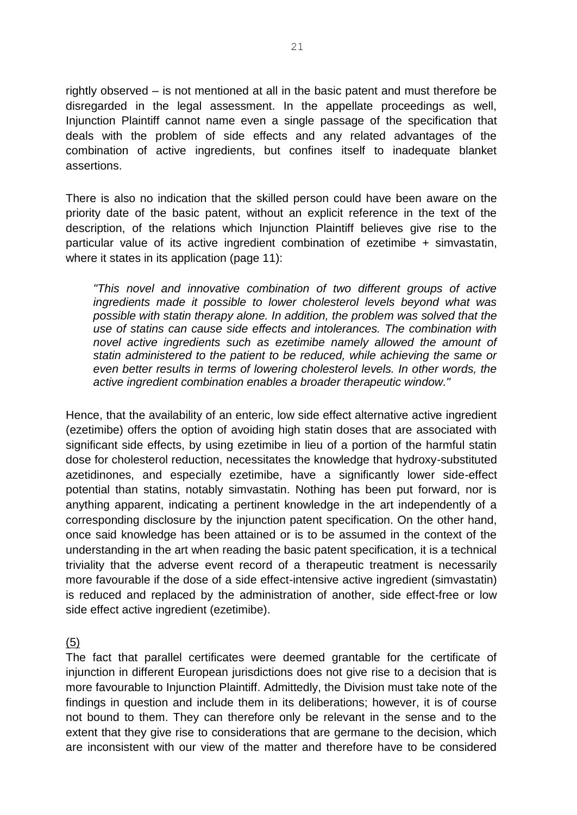rightly observed – is not mentioned at all in the basic patent and must therefore be disregarded in the legal assessment. In the appellate proceedings as well, Injunction Plaintiff cannot name even a single passage of the specification that deals with the problem of side effects and any related advantages of the combination of active ingredients, but confines itself to inadequate blanket assertions.

There is also no indication that the skilled person could have been aware on the priority date of the basic patent, without an explicit reference in the text of the description, of the relations which Injunction Plaintiff believes give rise to the particular value of its active ingredient combination of ezetimibe + simvastatin, where it states in its application (page 11):

*"This novel and innovative combination of two different groups of active ingredients made it possible to lower cholesterol levels beyond what was possible with statin therapy alone. In addition, the problem was solved that the use of statins can cause side effects and intolerances. The combination with novel active ingredients such as ezetimibe namely allowed the amount of statin administered to the patient to be reduced, while achieving the same or even better results in terms of lowering cholesterol levels. In other words, the active ingredient combination enables a broader therapeutic window."*

Hence, that the availability of an enteric, low side effect alternative active ingredient (ezetimibe) offers the option of avoiding high statin doses that are associated with significant side effects, by using ezetimibe in lieu of a portion of the harmful statin dose for cholesterol reduction, necessitates the knowledge that hydroxy-substituted azetidinones, and especially ezetimibe, have a significantly lower side-effect potential than statins, notably simvastatin. Nothing has been put forward, nor is anything apparent, indicating a pertinent knowledge in the art independently of a corresponding disclosure by the injunction patent specification. On the other hand, once said knowledge has been attained or is to be assumed in the context of the understanding in the art when reading the basic patent specification, it is a technical triviality that the adverse event record of a therapeutic treatment is necessarily more favourable if the dose of a side effect-intensive active ingredient (simvastatin) is reduced and replaced by the administration of another, side effect-free or low side effect active ingredient (ezetimibe).

(5)

The fact that parallel certificates were deemed grantable for the certificate of injunction in different European jurisdictions does not give rise to a decision that is more favourable to Injunction Plaintiff. Admittedly, the Division must take note of the findings in question and include them in its deliberations; however, it is of course not bound to them. They can therefore only be relevant in the sense and to the extent that they give rise to considerations that are germane to the decision, which are inconsistent with our view of the matter and therefore have to be considered